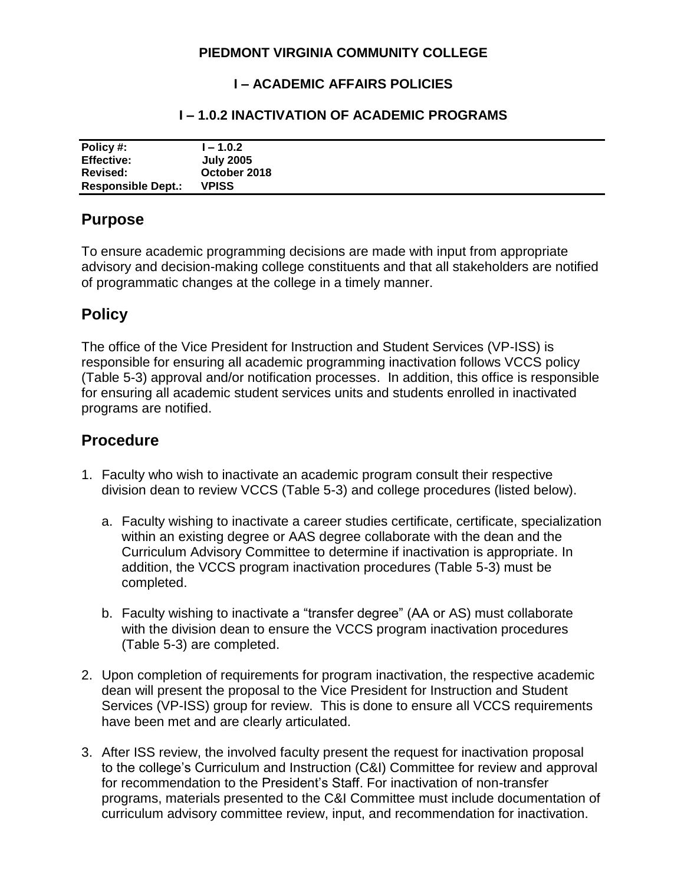### **PIEDMONT VIRGINIA COMMUNITY COLLEGE**

### **I – ACADEMIC AFFAIRS POLICIES**

#### **I – 1.0.2 INACTIVATION OF ACADEMIC PROGRAMS**

| Policy #:                 | $1 - 1.0.2$      |
|---------------------------|------------------|
| <b>Effective:</b>         | <b>July 2005</b> |
| Revised:                  | October 2018     |
| <b>Responsible Dept.:</b> | <b>VPISS</b>     |

### **Purpose**

To ensure academic programming decisions are made with input from appropriate advisory and decision-making college constituents and that all stakeholders are notified of programmatic changes at the college in a timely manner.

# **Policy**

The office of the Vice President for Instruction and Student Services (VP-ISS) is responsible for ensuring all academic programming inactivation follows VCCS policy (Table 5-3) approval and/or notification processes. In addition, this office is responsible for ensuring all academic student services units and students enrolled in inactivated programs are notified.

## **Procedure**

- 1. Faculty who wish to inactivate an academic program consult their respective division dean to review VCCS (Table 5-3) and college procedures (listed below).
	- a. Faculty wishing to inactivate a career studies certificate, certificate, specialization within an existing degree or AAS degree collaborate with the dean and the Curriculum Advisory Committee to determine if inactivation is appropriate. In addition, the VCCS program inactivation procedures (Table 5-3) must be completed.
	- b. Faculty wishing to inactivate a "transfer degree" (AA or AS) must collaborate with the division dean to ensure the VCCS program inactivation procedures (Table 5-3) are completed.
- 2. Upon completion of requirements for program inactivation, the respective academic dean will present the proposal to the Vice President for Instruction and Student Services (VP-ISS) group for review. This is done to ensure all VCCS requirements have been met and are clearly articulated.
- 3. After ISS review, the involved faculty present the request for inactivation proposal to the college's Curriculum and Instruction (C&I) Committee for review and approval for recommendation to the President's Staff. For inactivation of non-transfer programs, materials presented to the C&I Committee must include documentation of curriculum advisory committee review, input, and recommendation for inactivation.